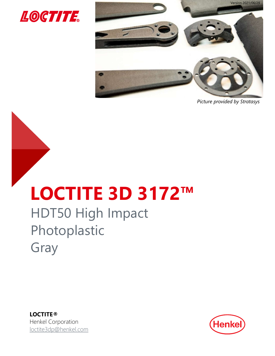



Picture provided by Stratasys

# LOCTITE 3D 3172™

# HDT50 High Impact Photoplastic Gray

LOCTITE® Henkel Corporation loctite3dp@henkel.com

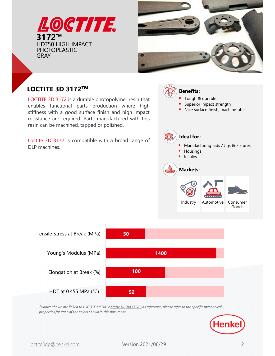



# LOCTITE 3D 3172<sup>TM</sup>  $\left(\bigtimes \right)$  Benefits:

**3172<sup>TM</sup>**<br>
HDT50 HIGH IMPACT<br>
PHOTOPLASTIC<br>
GRAY<br>
LOCTITE 3D 3172<sup>TM</sup><br>
LOCTITE 3D 3172<sup>TM</sup><br>
LOCTITE 3D 3172<sup>TM</sup><br>
LOCTITE 3D 3172 is a durable photopolymer resin that<br>
enables functional parts production where high<br>
stiff



52 HDT at 0.455 MPa (°C)

100

50



properties for each of the colors shown in this document

Elongation at Break (%)

Young's Modulus (MPa)

Tensile Stress at Break (MPa)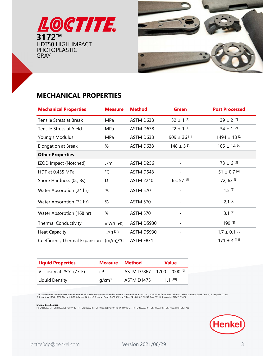



# MECHANICAL PROPERTIES

| <b>GTITE</b><br>$3172$ ™<br><b>HDT50 HIGH IMPACT</b><br><b>PHOTOPLASTIC</b><br><b>GRAY</b>                                                                                                                                                                                                                                                                   |                   |                    |                          |                              |
|--------------------------------------------------------------------------------------------------------------------------------------------------------------------------------------------------------------------------------------------------------------------------------------------------------------------------------------------------------------|-------------------|--------------------|--------------------------|------------------------------|
| <b>MECHANICAL PROPERTIES</b>                                                                                                                                                                                                                                                                                                                                 |                   |                    |                          |                              |
| <b>Mechanical Properties</b>                                                                                                                                                                                                                                                                                                                                 | <b>Measure</b>    | <b>Method</b>      | <b>Green</b>             | <b>Post Processed</b>        |
| Tensile Stress at Break                                                                                                                                                                                                                                                                                                                                      | MPa               | ASTM D638          | $32 \pm 1$ [1]           | $39 \pm 2$ [2]               |
| Tensile Stress at Yield                                                                                                                                                                                                                                                                                                                                      | MPa               | ASTM D638          | $22 \pm 1$ $^{\rm [1]}$  | $34 \pm 1^{[2]}$             |
| Young's Modulus                                                                                                                                                                                                                                                                                                                                              | MPa               | ASTM D638          | $909 \pm 36$ [1]         | $1494 \pm 18$ <sup>[2]</sup> |
| Elongation at Break                                                                                                                                                                                                                                                                                                                                          | $\%$              | ASTM D638          | $148 \pm 5$ [1]          | $105 \pm 14$ [2]             |
| <b>Other Properties</b>                                                                                                                                                                                                                                                                                                                                      |                   |                    |                          |                              |
| IZOD Impact (Notched)                                                                                                                                                                                                                                                                                                                                        | J/m               | ASTM D256          | $\overline{\phantom{a}}$ | $73 \pm 6$ [3]               |
| HDT at 0.455 MPa                                                                                                                                                                                                                                                                                                                                             | $^{\circ}$ C      | ASTM D648          |                          | 51 ± 0.7 $^{[4]}$            |
| Shore Hardness (0s, 3s)                                                                                                                                                                                                                                                                                                                                      | D                 | <b>ASTM 2240</b>   | 65, 57 [5]               | 72, 63 [6]                   |
| Water Absorption (24 hr)                                                                                                                                                                                                                                                                                                                                     | %                 | <b>ASTM 570</b>    |                          | $1.5^{[7]}$                  |
| Water Absorption (72 hr)                                                                                                                                                                                                                                                                                                                                     | %                 | <b>ASTM 570</b>    |                          | $2.1$ [7]                    |
| Water Absorption (168 hr)                                                                                                                                                                                                                                                                                                                                    | $\%$              | <b>ASTM 570</b>    |                          | $3.1$ [7]                    |
| <b>Thermal Conductivity</b>                                                                                                                                                                                                                                                                                                                                  | $mW/(m\cdot K)$   | <b>ASTM D5930</b>  |                          | 199 [8]                      |
| <b>Heat Capacity</b>                                                                                                                                                                                                                                                                                                                                         | $J/(g \cdot K)$   | ASTM D5930         |                          | $1.7 \pm 0.1$ [8]            |
| Coefficient, Thermal Expansion (m/m)/°C                                                                                                                                                                                                                                                                                                                      |                   | ASTM E831          |                          | $171 \pm 4$ [11]             |
|                                                                                                                                                                                                                                                                                                                                                              |                   |                    |                          |                              |
| <b>Liquid Properties</b>                                                                                                                                                                                                                                                                                                                                     | <b>Measure</b>    | <b>Method</b>      | <b>Value</b>             |                              |
| Viscosity at 25°C (77°F)                                                                                                                                                                                                                                                                                                                                     | cP                | ASTM D7867         | 1700 - 2000 [9]          |                              |
| <b>Liquid Density</b>                                                                                                                                                                                                                                                                                                                                        | g/cm <sup>3</sup> | ASTM D1475         | $1.1$ [10]               |                              |
| "All specimen are printed unless otherwise noted. All specimen were conditioned in ambient lab conditions at 19-23°C / 40-60% RH for at least 24 hours." ASTM Methods: D638 Type IV, 5 mm/min, D790-<br>B, 2 mm/min, D648, D256 Notched IZOD (Machine Notched), 6 mm x 12 mm, D570 0.125" x 2" Disc 24hr@ 25°C, D2240, Type "D" (0, 3 seconds), D7867, D1475 |                   |                    |                          |                              |
| <b>Internal Data Sources:</b>                                                                                                                                                                                                                                                                                                                                |                   |                    |                          |                              |
| [1]FOR21293, [2] FOR21199, [3] FOR19120 , [4] FOR19863, [5] FOR19123, [6] FOR19142, [7] FOR19125, [8] FOR26233, [9] FOR19122, [10] FOR37165, [11] FOR25783                                                                                                                                                                                                   |                   |                    |                          |                              |
|                                                                                                                                                                                                                                                                                                                                                              |                   |                    |                          |                              |
|                                                                                                                                                                                                                                                                                                                                                              |                   |                    |                          |                              |
| loctite3dp@henkel.com                                                                                                                                                                                                                                                                                                                                        |                   | Version 2021/06/29 |                          | 3                            |
|                                                                                                                                                                                                                                                                                                                                                              |                   |                    |                          |                              |

| <b>Liquid Properties</b>                      | <b>Measure</b>    | Method     | <b>Value</b>                          |  |  |
|-----------------------------------------------|-------------------|------------|---------------------------------------|--|--|
| Viscosity at $25^{\circ}$ C (77 $^{\circ}$ F) | сP                |            | ASTM D7867 1700 - 2000 <sup>[9]</sup> |  |  |
| Liquid Density                                | q/cm <sup>3</sup> | ASTM D1475 | $11^{[10]}$                           |  |  |

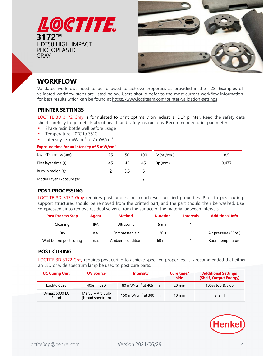



## WORKFLOW

- 
- 
- 

#### Exposure time for an intensity of 5 mW/cm²

| <b>Post Process Step</b><br>Cleaning<br>Dry<br>Wait before post curing<br><b>POST CURING</b><br>LOCTITE 3D 3172 Gray requires post curing to achieve specified properties. It is recommended that either<br>an LED or wide spectrum lamp be used to post cure parts.<br><b>UC Curing Unit</b>                                  | IPA<br>n.a.<br>n.a.<br><b>UV Source</b> |                | <b>Ultrasonic</b><br>Compressed air<br>Ambient condition | <b>Intensity</b>    | 20 <sub>s</sub><br>60 min | $\mathbf{1}$<br>-1<br>Cure time/<br>side | Air pressure (55psi)<br>Room temperature<br><b>Additional Settings</b><br>(Shelf, Output Energy) |
|--------------------------------------------------------------------------------------------------------------------------------------------------------------------------------------------------------------------------------------------------------------------------------------------------------------------------------|-----------------------------------------|----------------|----------------------------------------------------------|---------------------|---------------------------|------------------------------------------|--------------------------------------------------------------------------------------------------|
|                                                                                                                                                                                                                                                                                                                                |                                         |                |                                                          |                     |                           |                                          |                                                                                                  |
|                                                                                                                                                                                                                                                                                                                                |                                         |                |                                                          |                     |                           |                                          |                                                                                                  |
|                                                                                                                                                                                                                                                                                                                                |                                         |                |                                                          |                     |                           |                                          |                                                                                                  |
|                                                                                                                                                                                                                                                                                                                                |                                         |                |                                                          |                     |                           |                                          |                                                                                                  |
|                                                                                                                                                                                                                                                                                                                                |                                         |                |                                                          |                     |                           |                                          |                                                                                                  |
|                                                                                                                                                                                                                                                                                                                                |                                         |                |                                                          |                     | 5 min                     |                                          |                                                                                                  |
|                                                                                                                                                                                                                                                                                                                                | <b>Agent</b>                            |                | <b>Method</b>                                            |                     | <b>Duration</b>           | <b>Intervals</b>                         | <b>Additional Info</b>                                                                           |
| support structures should be removed from the printed part, and the part should then be washed. Use<br>compressed air to remove residual solvent from the surface of the material between intervals.                                                                                                                           |                                         |                |                                                          |                     |                           |                                          |                                                                                                  |
| <b>POST PROCESSING</b><br>LOCTITE 3D 3172 Gray requires post processing to achieve specified properties. Prior to post curing,                                                                                                                                                                                                 |                                         |                |                                                          |                     |                           |                                          |                                                                                                  |
|                                                                                                                                                                                                                                                                                                                                |                                         |                |                                                          |                     |                           |                                          |                                                                                                  |
| Burn in region (s):<br>Model Layer Exposure (s):                                                                                                                                                                                                                                                                               |                                         | $\overline{c}$ | 3.5                                                      | 6<br>$\overline{7}$ |                           |                                          |                                                                                                  |
| First layer time (s)                                                                                                                                                                                                                                                                                                           |                                         | 45             | 45                                                       | 45                  | $Dp$ (mm):                |                                          | 0.477                                                                                            |
| Layer Thickness (µm):                                                                                                                                                                                                                                                                                                          |                                         | 25             | 50                                                       | 100                 | Ec $(mJ/cm2)$             |                                          | 18.5                                                                                             |
| Exposure time for an intensity of 5 mW/cm <sup>2</sup>                                                                                                                                                                                                                                                                         |                                         |                |                                                          |                     |                           |                                          |                                                                                                  |
| Shake resin bottle well before usage<br>Temperature: 20°C to 35°C<br>Intensity: $3 \text{ mW/cm}^2$ to 7 mW/cm <sup>2</sup><br>٠                                                                                                                                                                                               |                                         |                |                                                          |                     |                           |                                          |                                                                                                  |
| LOCTITE 3D 3172 Gray is formulated to print optimally on industrial DLP printer. Read the safety data<br>sheet carefully to get details about health and safety instructions. Recommended print parameters:                                                                                                                    |                                         |                |                                                          |                     |                           |                                          |                                                                                                  |
|                                                                                                                                                                                                                                                                                                                                |                                         |                |                                                          |                     |                           |                                          |                                                                                                  |
| <b>PRINTER SETTINGS</b>                                                                                                                                                                                                                                                                                                        |                                         |                |                                                          |                     |                           |                                          |                                                                                                  |
|                                                                                                                                                                                                                                                                                                                                |                                         |                |                                                          |                     |                           |                                          |                                                                                                  |
| <b>WORKFLOW</b><br>Validated workflows need to be followed to achieve properties as provided in the TDS. Examples of<br>validated workflow steps are listed below. Users should defer to the most current workflow information<br>for best results which can be found at https://www.loctiteam.com/printer-validation-settings |                                         |                |                                                          |                     |                           |                                          |                                                                                                  |
| <b>HDT50 HIGH IMPACT</b><br><b>PHOTOPLASTIC</b><br><b>GRAY</b>                                                                                                                                                                                                                                                                 |                                         |                |                                                          |                     |                           |                                          |                                                                                                  |

### POST PROCESSING

| <b>Post Process Step</b> | Agent | <b>Method</b>     | <b>Duration</b>  | <b>Intervals</b> | <b>Additional Info</b> |
|--------------------------|-------|-------------------|------------------|------------------|------------------------|
| Cleaning                 | IPA   | <b>Ultrasonic</b> | 5 min            |                  |                        |
| Dry                      | n.a.  | Compressed air    | 20 <sub>s</sub>  |                  | Air pressure (55psi)   |
| Wait before post curing  | n.a.  | Ambient condition | $60 \text{ min}$ |                  | Room temperature       |

### POST CURING

|                                                                                               |                  | رے                | יט<br>$\overline{\mathsf{U}}$                            | LC (111)/ CIII <i>J</i> |                    | <b>UO.J</b>                                                                                                                                                                                                 |
|-----------------------------------------------------------------------------------------------|------------------|-------------------|----------------------------------------------------------|-------------------------|--------------------|-------------------------------------------------------------------------------------------------------------------------------------------------------------------------------------------------------------|
| irst layer time (s)                                                                           |                  | 45                | 45<br>45                                                 | $Dp$ (mm):              |                    | 0.477                                                                                                                                                                                                       |
| Jurn in region (s):                                                                           |                  | $\overline{2}$    | 3.5<br>6                                                 |                         |                    |                                                                                                                                                                                                             |
| Model Layer Exposure (s):                                                                     |                  |                   | $\overline{7}$                                           |                         |                    |                                                                                                                                                                                                             |
| <b>POST PROCESSING</b>                                                                        |                  |                   |                                                          |                         |                    |                                                                                                                                                                                                             |
| compressed air to remove residual solvent from the surface of the material between intervals. |                  |                   |                                                          |                         |                    | LOCTITE 3D 3172 Gray requires post processing to achieve specified properties. Prior to post curing,<br>support structures should be removed from the printed part, and the part should then be washed. Use |
| <b>Post Process Step</b>                                                                      | <b>Agent</b>     |                   | <b>Method</b>                                            | <b>Duration</b>         | <b>Intervals</b>   | <b>Additional Info</b>                                                                                                                                                                                      |
| Cleaning                                                                                      | IPA              |                   | <b>Ultrasonic</b>                                        | 5 min                   | -1                 |                                                                                                                                                                                                             |
| Dry                                                                                           | n.a.             |                   | Compressed air                                           | 20 <sub>s</sub>         | $\mathbf{1}$       | Air pressure (55psi)                                                                                                                                                                                        |
| Wait before post curing                                                                       | n.a.             | Ambient condition |                                                          | 60 min                  | $\mathbf{1}$       | Room temperature                                                                                                                                                                                            |
| <b>POST CURING</b>                                                                            |                  |                   |                                                          |                         |                    |                                                                                                                                                                                                             |
|                                                                                               |                  |                   | an LED or wide spectrum lamp be used to post cure parts. |                         |                    | LOCTITE 3D 3172 Gray requires post curing to achieve specified properties. It is recommended that either                                                                                                    |
|                                                                                               |                  |                   |                                                          |                         |                    |                                                                                                                                                                                                             |
| <b>UC Curing Unit</b>                                                                         | <b>UV Source</b> |                   | <b>Intensity</b>                                         |                         | Cure time/<br>side | <b>Additional Settings</b><br>(Shelf, Output Energy)                                                                                                                                                        |
| Loctite CL36                                                                                  | 405nm LED        |                   | 80 mW/cm <sup>2</sup> at 405 nm                          |                         | 20 min             | 100% top & side                                                                                                                                                                                             |

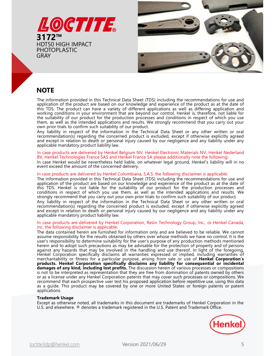



## NOTE

**3172<sup>TM</sup>**<br>**BIT22<sup>TM</sup>**<br>**BIT22<sup>TM</sup><br>
EDIT50 HIGH IMPACT<br>
GRAY<br>
EDIT50 HIGH IMPACT<br>
GRAY<br>
CRISTIC THE product can be avade on our knowledge and experience of the product as at the date of<br>
this TDS. The product can have a var** In case products are delivered by Henkel Belgium NV, Henkel Electronic Materials NV, Henkel Nederland **EXERCT:**<br> **BVCOVERTIGESTIC**<br> **BVCOVERTIGESTIGNAL CONTINUES TO THE INTERFERNAL CONTINUES TO THE INTERFERNAL CONTINUES TO THE PROCURE TO THE PROCURE TO THE PROCURE TO THE PROCURE TO THE PROCURE TO THE PROCURE TO THE PROCURE INDITE**<br> **IFACTOPLEASTIC**<br> **EXERCT CONSULTS AND THE INTERNATION OF THE INTERNATION CONSULTS ARE CONSULTS AND THE PROTOPLEASTIC THE PROTOPLEASTIC<br>
<b>IFACT CONSULTS AND THE PROTOPLEASTIC CONSULTS AND THE CONSULTS AND THE CON EVENDIOPLASTIC**<br> **EVENDIOPLASTIC**<br> **EVENDIOPLATE THE Information provided in this Technical Data Sheet (TDS) including the recommendations for use and<br>
application of the product are based on our knowledge and experience IN COTE**<br>
The information provided in this Technical Data Sheet (TDS) including the recommendations for use and<br>
this TDS. The product are based on our knowledge and experience of the product as at the date of<br>
this TDS. **NOTE**<br>The information provided in this Technical Data Sheet (TDS) including the recommendations for use and<br>this TDS. The product can have a variety of different anglications as well as differing a pplication and<br>this TDS **NOTE**<br>The information provided in this Technical Data Sheet (TDS) including the recommendations for use and<br>splication the the product are based on to dividende grant experience on the production<br>overlap conditions in you **NOTE**<br>The information provided in this Technical Data Sheet (TDS) including the recommendations for use and application of the product are based on our knowledge and experience of the product as at the date of more than t **NOTE**<br>**Romation** provided in this Technical Data Sheet (TDS) including the recommendations for use and application of the product are based on our knowledge and experience of the product as at the date of this IDS. The pr **NOTE**<br>The information provided in this Technical Data Sheet (TDS) including the recommendations for use and<br>application of the product car have a variety of different applications as well as different papilcation and<br>exac **NOTE**<br>
The information provided in this Technical Data Sheet (TDS) including the recommendations for use and<br>
popicalization of the product are based on our knowledge and experience of the products as the date of<br>
whister **NOTE**<br>**ROTE** information provided in this Technical Data Sheet (TDS) including the recommendations for use and<br>application of the product can have a variety of different applications as well as differing application and<br>w The information provided in this Technical Data Sheet (TDS) including the recommendations of the product as at the date of this probably as a the date of this probably as in the absolut of this product as a the date of the The information provided in this Technical Data Sheet (TDS) including the recommendations for use and this TDS. The product can have a verific strate in plications are verification and this TDS. The product can have a veri

she were the more than the concerned by the more than the more of the more than the more than the more than the more than the more than the more than the more than the more than the more than the sum of the more than the s

Inc. the nonlowing disculture is applicable.<br>
The data contained herein are furnished for information only and are believed to be reliable. We cannot<br>
assume responsibility for the sults obtained by others over whose metho Inverties the content material material material material material in the content of the symbol and the product material in the product methaning populations in your environment that are beyond out control. Hence it is the the sumability of our product for the production processes and containing in respect of which you use<br>owe prior trials to confirm such for the production processes and results. We strongly recommend that you cany<br>owe herei them ass well as the internaled application of the product we have the results we strongly recommend that you carry out your<br>town prior trials to confirm such suitability of our product. We strongly recommend that you carr own prior trais to confirm such suitability of our product. <sup>2</sup><sup>22</sup> worseless of any production of the production of the methods methods in the confirmed any product is excluded, except in chemic recommendation is persiona Any liability in respect of the information in the Technical Data Sheet or any other written or oral transmission from the method of the information of oral of the precision of the protocol and except in relation to death nextrained that the state of the state of the may be interested in the the handling and except if one and except in relations of the presented by our negligence and any liability under any applicable mandatory product liab Hence Corporation is the content of the corporation is expressed by our negligence and any liability under any<br>papelicalle mandatory product liability law.<br>
In case products are delivered by Henkel Belgium NV, Henkel Elect and execution of the method of the method and the state of the method include and the set products are delivered by Henkel Rathan IV, Henkel Technologies France SAS and Henkel France SA please additionally note the followi primation is the methodologies frames SAS and Henkel Electronic Materials NV, Henkel Nederland<br>BV, Henkel Technologies frames SAS and Henkel France SA please additionally note the following:<br>In case Henkel would be neverth In case products are delivered by Henkel Belgium NV, Henkel Electronic Materials NV, Henkel Nederland<br>IPS, Henkel Technologies France SAS and Henkel France SA please additionally note the following:<br>In case Henkel would b By Henkel Technologies France SAS and Henkel France SA please additionally note the following:<br>In case Henkel would be nevertheless held liable, on whatever legal ground, Henkel's liability will in no<br>event exceed the amou In case Henkel would be nevertheless held liable, on whatever legal ground, Henkel's liability will in no<br>
in case products are delivered by Henkel Colombiana, S.A.S. the following disclaimer is applicable:<br>
In case produc record the amount of the concerned delivery,<br>In as e products are delivered by Henkel Colombiana, S.A.S. the following disclaimer is applicable.<br>In the information provided in this Technical Data Sheet (TDS) including the In case products are delivered by Henkel Colombiana, S.A.S. the following disclaimer is applicable.<br>The information provided in this fechnical Data Sheet (TDS) including the recommendations for use and<br>this fits. However t applications. application of the product are based on ur knowledge and experience of the product<br>min TDS. Henkel is not liable for the suitability of our product for the product<br>conditions in respect of which you use them, as well as th this TDS. Henkel Except as otherwise noted, all trademarks in this document are trademarks of Henkel Corporation in the production in the production in the Technical applications and results. We strongly recommend that you conditions in respect of which you use them. It is well as the intended applications and results. We<br>compute the more transition with the second of the information in the Technical Data Sheet or any other written or oral<br>A